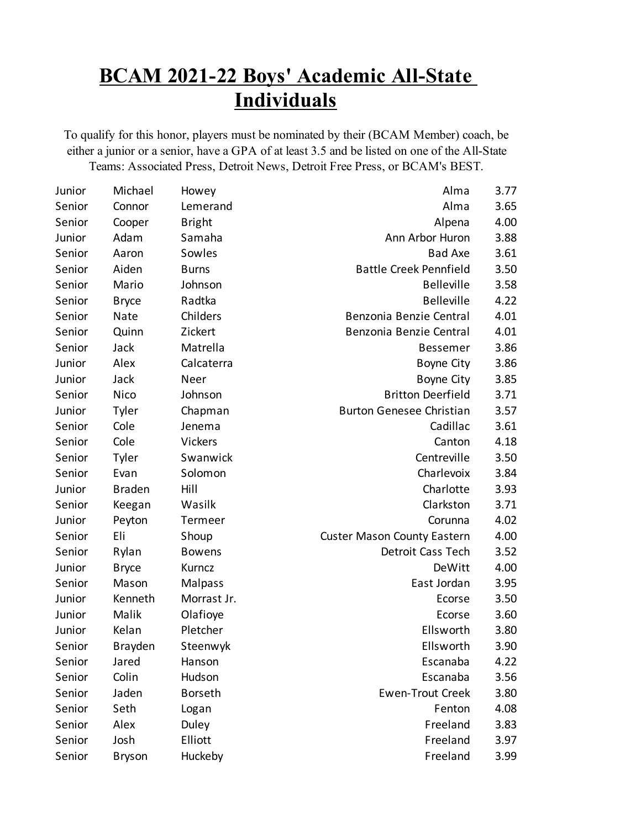## **BCAM 2021-22 Boys' Academic All-State Individuals**

To qualify for this honor, players must be nominated by their (BCAM Member) coach, be either a junior or a senior, have a GPA of at least 3.5 and be listed on one of the All-State Teams: Associated Press, Detroit News, Detroit Free Press, or BCAM's BEST.

| Junior | Michael       | Howey          | Alma                               | 3.77 |
|--------|---------------|----------------|------------------------------------|------|
| Senior | Connor        | Lemerand       | Alma                               | 3.65 |
| Senior | Cooper        | <b>Bright</b>  | Alpena                             | 4.00 |
| Junior | Adam          | Samaha         | Ann Arbor Huron                    | 3.88 |
| Senior | Aaron         | Sowles         | <b>Bad Axe</b>                     | 3.61 |
| Senior | Aiden         | <b>Burns</b>   | <b>Battle Creek Pennfield</b>      | 3.50 |
| Senior | Mario         | Johnson        | <b>Belleville</b>                  | 3.58 |
| Senior | <b>Bryce</b>  | Radtka         | <b>Belleville</b>                  | 4.22 |
| Senior | Nate          | Childers       | Benzonia Benzie Central            | 4.01 |
| Senior | Quinn         | Zickert        | Benzonia Benzie Central            | 4.01 |
| Senior | Jack          | Matrella       | <b>Bessemer</b>                    | 3.86 |
| Junior | Alex          | Calcaterra     | Boyne City                         | 3.86 |
| Junior | Jack          | Neer           | Boyne City                         | 3.85 |
| Senior | <b>Nico</b>   | Johnson        | <b>Britton Deerfield</b>           | 3.71 |
| Junior | Tyler         | Chapman        | <b>Burton Genesee Christian</b>    | 3.57 |
| Senior | Cole          | Jenema         | Cadillac                           | 3.61 |
| Senior | Cole          | <b>Vickers</b> | Canton                             | 4.18 |
| Senior | Tyler         | Swanwick       | Centreville                        | 3.50 |
| Senior | Evan          | Solomon        | Charlevoix                         | 3.84 |
| Junior | <b>Braden</b> | Hill           | Charlotte                          | 3.93 |
| Senior | Keegan        | Wasilk         | Clarkston                          | 3.71 |
| Junior | Peyton        | Termeer        | Corunna                            | 4.02 |
| Senior | Eli           | Shoup          | <b>Custer Mason County Eastern</b> | 4.00 |
| Senior | Rylan         | <b>Bowens</b>  | Detroit Cass Tech                  | 3.52 |
| Junior | <b>Bryce</b>  | Kurncz         | DeWitt                             | 4.00 |
| Senior | Mason         | <b>Malpass</b> | East Jordan                        | 3.95 |
| Junior | Kenneth       | Morrast Jr.    | Ecorse                             | 3.50 |
| Junior | Malik         | Olafioye       | Ecorse                             | 3.60 |
| Junior | Kelan         | Pletcher       | Ellsworth                          | 3.80 |
| Senior | Brayden       | Steenwyk       | Ellsworth                          | 3.90 |
| Senior | Jared         | Hanson         | Escanaba                           | 4.22 |
| Senior | Colin         | Hudson         | Escanaba                           | 3.56 |
| Senior | Jaden         | <b>Borseth</b> | <b>Ewen-Trout Creek</b>            | 3.80 |
| Senior | Seth          | Logan          | Fenton                             | 4.08 |
| Senior | Alex          | Duley          | Freeland                           | 3.83 |
| Senior | Josh          | Elliott        | Freeland                           | 3.97 |
| Senior | <b>Bryson</b> | Huckeby        | Freeland                           | 3.99 |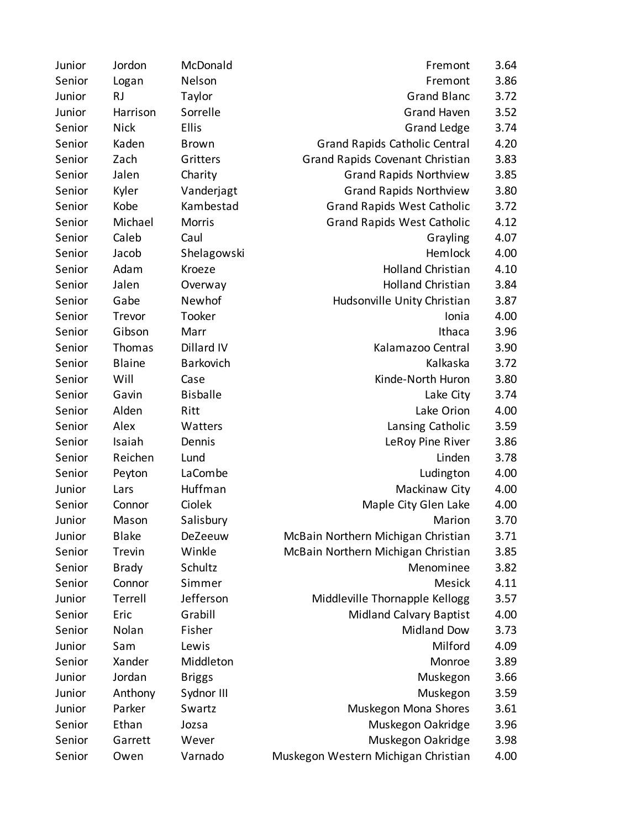| Junior | Jordon        | McDonald        | Fremont                              | 3.64 |
|--------|---------------|-----------------|--------------------------------------|------|
| Senior | Logan         | Nelson          | Fremont                              | 3.86 |
| Junior | <b>RJ</b>     | Taylor          | <b>Grand Blanc</b>                   | 3.72 |
| Junior | Harrison      | Sorrelle        | <b>Grand Haven</b>                   | 3.52 |
| Senior | <b>Nick</b>   | Ellis           | <b>Grand Ledge</b>                   | 3.74 |
| Senior | Kaden         | <b>Brown</b>    | <b>Grand Rapids Catholic Central</b> | 4.20 |
| Senior | Zach          | Gritters        | Grand Rapids Covenant Christian      | 3.83 |
| Senior | Jalen         | Charity         | <b>Grand Rapids Northview</b>        | 3.85 |
| Senior | Kyler         | Vanderjagt      | <b>Grand Rapids Northview</b>        | 3.80 |
| Senior | Kobe          | Kambestad       | <b>Grand Rapids West Catholic</b>    | 3.72 |
| Senior | Michael       | <b>Morris</b>   | <b>Grand Rapids West Catholic</b>    | 4.12 |
| Senior | Caleb         | Caul            | Grayling                             | 4.07 |
| Senior | Jacob         | Shelagowski     | Hemlock                              | 4.00 |
| Senior | Adam          | Kroeze          | <b>Holland Christian</b>             | 4.10 |
| Senior | Jalen         | Overway         | <b>Holland Christian</b>             | 3.84 |
| Senior | Gabe          | Newhof          | Hudsonville Unity Christian          | 3.87 |
| Senior | Trevor        | Tooker          | Ionia                                | 4.00 |
| Senior | Gibson        | Marr            | Ithaca                               | 3.96 |
| Senior | Thomas        | Dillard IV      | Kalamazoo Central                    | 3.90 |
| Senior | <b>Blaine</b> | Barkovich       | Kalkaska                             | 3.72 |
| Senior | Will          | Case            | Kinde-North Huron                    | 3.80 |
| Senior | Gavin         | <b>Bisballe</b> | Lake City                            | 3.74 |
| Senior | Alden         | Ritt            | Lake Orion                           | 4.00 |
| Senior | Alex          | Watters         | Lansing Catholic                     | 3.59 |
| Senior | Isaiah        | Dennis          | LeRoy Pine River                     | 3.86 |
| Senior | Reichen       | Lund            | Linden                               | 3.78 |
| Senior | Peyton        | LaCombe         | Ludington                            | 4.00 |
| Junior | Lars          | Huffman         | Mackinaw City                        | 4.00 |
| Senior | Connor        | Ciolek          | Maple City Glen Lake                 | 4.00 |
| Junior | Mason         | Salisbury       | Marion                               | 3.70 |
| Junior | <b>Blake</b>  | DeZeeuw         | McBain Northern Michigan Christian   | 3.71 |
| Senior | Trevin        | Winkle          | McBain Northern Michigan Christian   | 3.85 |
| Senior | <b>Brady</b>  | Schultz         | Menominee                            | 3.82 |
| Senior | Connor        | Simmer          | Mesick                               | 4.11 |
| Junior | Terrell       | Jefferson       | Middleville Thornapple Kellogg       | 3.57 |
| Senior | Eric          | Grabill         | <b>Midland Calvary Baptist</b>       | 4.00 |
| Senior | Nolan         | Fisher          | <b>Midland Dow</b>                   | 3.73 |
| Junior | Sam           | Lewis           | Milford                              | 4.09 |
| Senior | Xander        | Middleton       | Monroe                               | 3.89 |
| Junior | Jordan        | <b>Briggs</b>   | Muskegon                             | 3.66 |
| Junior | Anthony       | Sydnor III      | Muskegon                             | 3.59 |
| Junior | Parker        | Swartz          | Muskegon Mona Shores                 | 3.61 |
| Senior | Ethan         | Jozsa           | Muskegon Oakridge                    | 3.96 |
| Senior | Garrett       | Wever           | Muskegon Oakridge                    | 3.98 |
| Senior | Owen          | Varnado         | Muskegon Western Michigan Christian  | 4.00 |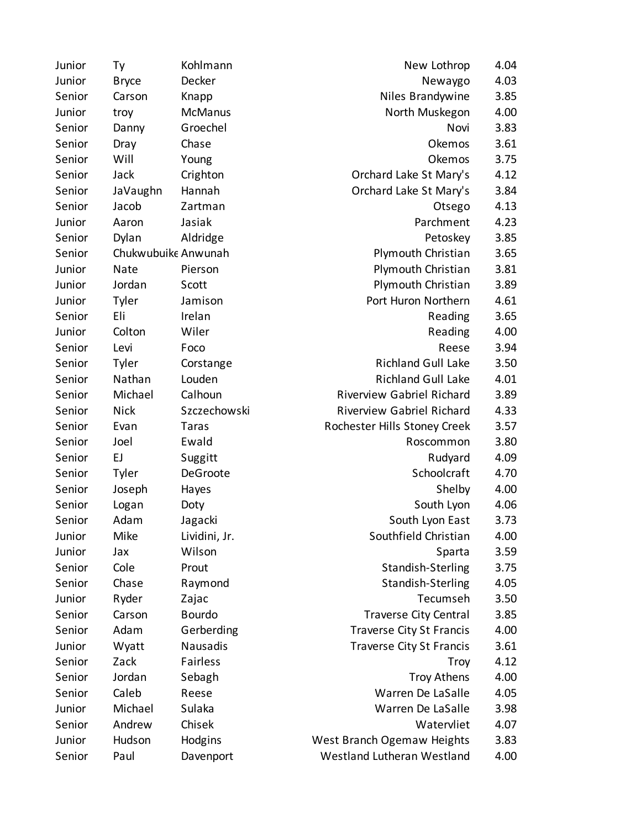| Junior | Тy                  | Kohlmann       | New Lothrop                      | 4.04 |
|--------|---------------------|----------------|----------------------------------|------|
| Junior | <b>Bryce</b>        | Decker         | Newaygo                          | 4.03 |
| Senior | Carson              | Knapp          | Niles Brandywine                 | 3.85 |
| Junior | troy                | <b>McManus</b> | North Muskegon                   | 4.00 |
| Senior | Danny               | Groechel       | Novi                             | 3.83 |
| Senior | Dray                | Chase          | Okemos                           | 3.61 |
| Senior | Will                | Young          | Okemos                           | 3.75 |
| Senior | Jack                | Crighton       | Orchard Lake St Mary's           | 4.12 |
| Senior | JaVaughn            | Hannah         | Orchard Lake St Mary's           | 3.84 |
| Senior | Jacob               | Zartman        | Otsego                           | 4.13 |
| Junior | Aaron               | Jasiak         | Parchment                        | 4.23 |
| Senior | Dylan               | Aldridge       | Petoskey                         | 3.85 |
| Senior | Chukwubuike Anwunah |                | Plymouth Christian               | 3.65 |
| Junior | <b>Nate</b>         | Pierson        | Plymouth Christian               | 3.81 |
| Junior | Jordan              | Scott          | Plymouth Christian               | 3.89 |
| Junior | Tyler               | Jamison        | Port Huron Northern              | 4.61 |
| Senior | Eli                 | Irelan         | Reading                          | 3.65 |
| Junior | Colton              | Wiler          | Reading                          | 4.00 |
| Senior | Levi                | Foco           | Reese                            | 3.94 |
| Senior | Tyler               | Corstange      | <b>Richland Gull Lake</b>        | 3.50 |
| Senior | Nathan              | Louden         | <b>Richland Gull Lake</b>        | 4.01 |
| Senior | Michael             | Calhoun        | <b>Riverview Gabriel Richard</b> | 3.89 |
| Senior | <b>Nick</b>         | Szczechowski   | <b>Riverview Gabriel Richard</b> | 4.33 |
| Senior | Evan                | <b>Taras</b>   | Rochester Hills Stoney Creek     | 3.57 |
| Senior | Joel                | Ewald          | Roscommon                        | 3.80 |
| Senior | EJ                  | Suggitt        | Rudyard                          | 4.09 |
| Senior | Tyler               | DeGroote       | Schoolcraft                      | 4.70 |
| Senior | Joseph              | Hayes          | Shelby                           | 4.00 |
| Senior | Logan               | Doty           | South Lyon                       | 4.06 |
| Senior | Adam                | Jagacki        | South Lyon East                  | 3.73 |
| Junior | Mike                | Lividini, Jr.  | Southfield Christian             | 4.00 |
| Junior | Jax                 | Wilson         | Sparta                           | 3.59 |
| Senior | Cole                | Prout          | <b>Standish-Sterling</b>         | 3.75 |
| Senior | Chase               | Raymond        | Standish-Sterling                | 4.05 |
| Junior | Ryder               | Zajac          | Tecumseh                         | 3.50 |
| Senior | Carson              | <b>Bourdo</b>  | Traverse City Central            | 3.85 |
| Senior | Adam                | Gerberding     | <b>Traverse City St Francis</b>  | 4.00 |
| Junior | Wyatt               | Nausadis       | <b>Traverse City St Francis</b>  | 3.61 |
| Senior | Zack                | Fairless       | Troy                             | 4.12 |
| Senior | Jordan              | Sebagh         | <b>Troy Athens</b>               | 4.00 |
| Senior | Caleb               | Reese          | Warren De LaSalle                | 4.05 |
| Junior | Michael             | Sulaka         | Warren De LaSalle                | 3.98 |
| Senior | Andrew              | Chisek         | Watervliet                       | 4.07 |
| Junior | Hudson              | Hodgins        | West Branch Ogemaw Heights       | 3.83 |
| Senior | Paul                | Davenport      | Westland Lutheran Westland       | 4.00 |